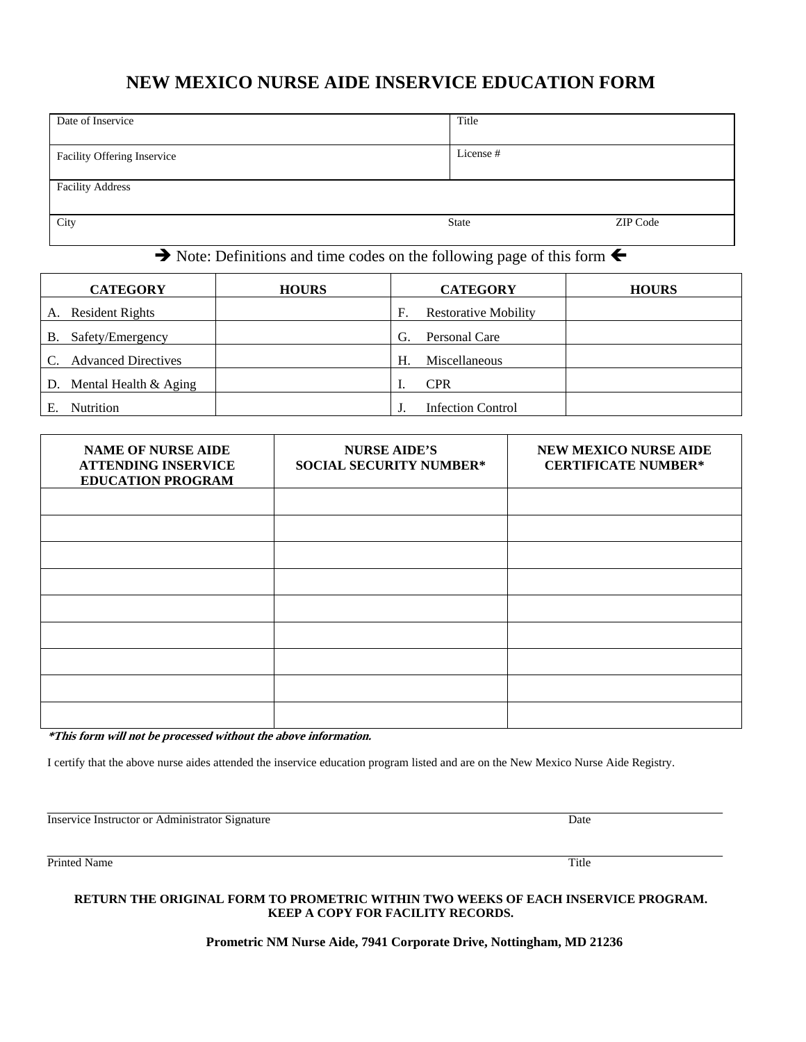# **NEW MEXICO NURSE AIDE INSERVICE EDUCATION FORM**

| Date of Inservice           | Title        |          |
|-----------------------------|--------------|----------|
| Facility Offering Inservice | License #    |          |
| <b>Facility Address</b>     |              |          |
| City                        | <b>State</b> | ZIP Code |

## $\rightarrow$  Note: Definitions and time codes on the following page of this form  $\leftarrow$

|    | <b>CATEGORY</b>            | <b>HOURS</b> |    | <b>CATEGORY</b>             | <b>HOURS</b> |
|----|----------------------------|--------------|----|-----------------------------|--------------|
| A. | <b>Resident Rights</b>     |              | F. | <b>Restorative Mobility</b> |              |
| В. | Safety/Emergency           |              | G. | Personal Care               |              |
| C. | <b>Advanced Directives</b> |              | Н. | Miscellaneous               |              |
| D. | Mental Health & Aging      |              |    | <b>CPR</b>                  |              |
|    | <b>Nutrition</b>           |              |    | <b>Infection Control</b>    |              |

| <b>NAME OF NURSE AIDE</b><br><b>ATTENDING INSERVICE</b><br><b>EDUCATION PROGRAM</b> | <b>NURSE AIDE'S</b><br><b>SOCIAL SECURITY NUMBER*</b> | <b>NEW MEXICO NURSE AIDE</b><br><b>CERTIFICATE NUMBER*</b> |
|-------------------------------------------------------------------------------------|-------------------------------------------------------|------------------------------------------------------------|
|                                                                                     |                                                       |                                                            |
|                                                                                     |                                                       |                                                            |
|                                                                                     |                                                       |                                                            |
|                                                                                     |                                                       |                                                            |
|                                                                                     |                                                       |                                                            |
|                                                                                     |                                                       |                                                            |
|                                                                                     |                                                       |                                                            |
|                                                                                     |                                                       |                                                            |
|                                                                                     |                                                       |                                                            |

**\*This form will not be processed without the above information.** 

I certify that the above nurse aides attended the inservice education program listed and are on the New Mexico Nurse Aide Registry.

Inservice Instructor or Administrator Signature Date

Printed Name Title **The Community of the Community Community** Title **The Community Community Community** Title **The Community Community Community** Title **The Community Community Community** Community Community Community Comm

#### **RETURN THE ORIGINAL FORM TO PROMETRIC WITHIN TWO WEEKS OF EACH INSERVICE PROGRAM. KEEP A COPY FOR FACILITY RECORDS.**

**Prometric NM Nurse Aide, 7941 Corporate Drive, Nottingham, MD 21236**